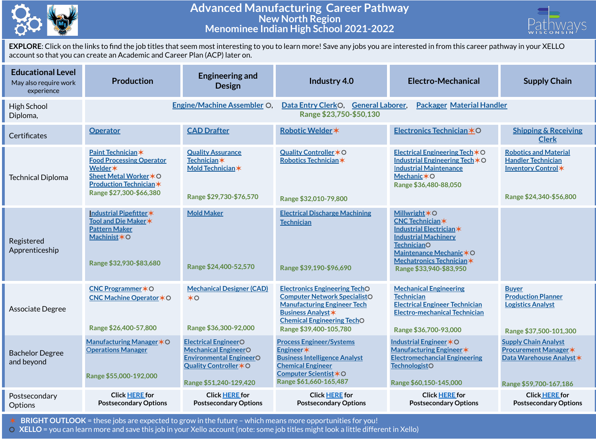

## **Advanced Manufacturing Career Pathway New North Region Menominee Indian High School 2021-2022**



**EXPLORE**: Click on the links to find the job titles that seem most interesting to you to learn more! Save any jobs you are interested in from this career pathway in your XELLO account so that you can create an Academic and Career Plan (ACP) later on.

| <b>Educational Level</b><br>May also require work<br>experience | <b>Production</b>                                                                                                                                                    | <b>Engineering and</b><br><b>Design</b>                                                                                                          | Industry 4.0                                                                                                                                                                                                  | <b>Electro-Mechanical</b>                                                                                                                                                                                       | <b>Supply Chain</b>                                                                                               |  |  |
|-----------------------------------------------------------------|----------------------------------------------------------------------------------------------------------------------------------------------------------------------|--------------------------------------------------------------------------------------------------------------------------------------------------|---------------------------------------------------------------------------------------------------------------------------------------------------------------------------------------------------------------|-----------------------------------------------------------------------------------------------------------------------------------------------------------------------------------------------------------------|-------------------------------------------------------------------------------------------------------------------|--|--|
| High School<br>Diploma,                                         |                                                                                                                                                                      | <b>Engine/Machine Assembler O</b>                                                                                                                | <b>Packager Material Handler</b><br>Data Entry ClerkO,<br><b>General Laborer,</b><br>Range \$23,750-\$50,130                                                                                                  |                                                                                                                                                                                                                 |                                                                                                                   |  |  |
| Certificates                                                    | <b>Operator</b>                                                                                                                                                      | <b>CAD Drafter</b>                                                                                                                               | Robotic Welder *                                                                                                                                                                                              | Electronics Technician *O                                                                                                                                                                                       | <b>Shipping &amp; Receiving</b><br><b>Clerk</b>                                                                   |  |  |
| <b>Technical Diploma</b>                                        | Paint Technician*<br><b>Food Processing Operator</b><br>Welder <b>*</b><br>Sheet Metal Worker <b>*</b> ○<br><b>Production Technician*</b><br>Range \$27,300-\$66,380 | <b>Quality Assurance</b><br>Technician *<br>Mold Technician *<br>Range \$29,730-\$76,570                                                         | Quality Controller * O<br>Robotics Technician *<br>Range \$32,010-79,800                                                                                                                                      | Electrical Engineering Tech $*$ O<br>Industrial Engineering Tech $*$ O<br><b>Industrial Maintenance</b><br>Mechanic $*$ O<br>Range \$36,480-88,050                                                              | <b>Robotics and Material</b><br><b>Handler Technician</b><br>Inventory Control*<br>Range \$24,340-\$56,800        |  |  |
| Registered<br>Apprenticeship                                    | Industrial Pipefitter*<br>Tool and Die Maker *<br><b>Pattern Maker</b><br>Machinist*O<br>Range \$32,930-\$83,680                                                     | <b>Mold Maker</b><br>Range \$24,400-52,570                                                                                                       | <b>Electrical Discharge Machining</b><br><b>Technician</b><br>Range \$39,190-\$96,690                                                                                                                         | <b>Millwright *O</b><br><b>CNC Technician*</b><br>Industrial Electrician*<br><b>Industrial Machinery</b><br><b>TechnicianO</b><br>Maintenance Mechanic*O<br>Mechatronics Technician*<br>Range \$33,940-\$83,950 |                                                                                                                   |  |  |
| Associate Degree                                                | CNC Programmer * O<br><b>CNC Machine Operator </b> ★ O<br>Range \$26,400-57,800                                                                                      | <b>Mechanical Designer (CAD)</b><br>$*$<br>Range \$36,300-92,000                                                                                 | <b>Electronics Engineering TechO</b><br><b>Computer Network SpecialistO</b><br><b>Manufacturing Engineer Tech</b><br><b>Business Analyst *</b><br><b>Chemical Engineering TechO</b><br>Range \$39,400-105,780 | <b>Mechanical Engineering</b><br><b>Technician</b><br><b>Electrical Engineer Technician</b><br><b>Electro-mechanical Technician</b><br>Range \$36,700-93,000                                                    | <b>Buyer</b><br><b>Production Planner</b><br><b>Logistics Analyst</b><br>Range \$37,500-101,300                   |  |  |
| <b>Bachelor Degree</b><br>and beyond                            | Manufacturing Manager $*$ O<br><b>Operations Manager</b><br>Range \$55,000-192,000                                                                                   | <b>Electrical EngineerO</b><br><b>Mechanical EngineerO</b><br><b>Environmental EngineerO</b><br>Quality Controller * O<br>Range \$51,240-129,420 | <b>Process Engineer/Systems</b><br>Engineer*<br><b>Business Intelligence Analyst</b><br><b>Chemical Engineer</b><br>Computer Scientist *O<br>Range \$61,660-165,487                                           | <b>Industrial Engineer *O</b><br>Manufacturing Engineer *<br><b>Electromechancial Engineering</b><br><b>TechnologistO</b><br>Range \$60,150-145,000                                                             | <b>Supply Chain Analyst</b><br><b>Procurement Manager *</b><br>Data Warehouse Analyst *<br>Range \$59,700-167,186 |  |  |
| Postsecondary<br>Options                                        | <b>Click HERE for</b><br><b>Postsecondary Options</b>                                                                                                                | <b>Click HERE for</b><br><b>Postsecondary Options</b>                                                                                            | <b>Click HERE for</b><br><b>Postsecondary Options</b>                                                                                                                                                         | <b>Click HERE for</b><br><b>Postsecondary Options</b>                                                                                                                                                           | <b>Click HERE for</b><br><b>Postsecondary Options</b>                                                             |  |  |

✶ **BRIGHT OUTLOOK** = these jobs are expected to grow in the future – which means more opportunities for you!

⚪ **XELLO** = you can learn more and save this job in your Xello account (note: some job titles might look a little different in Xello)